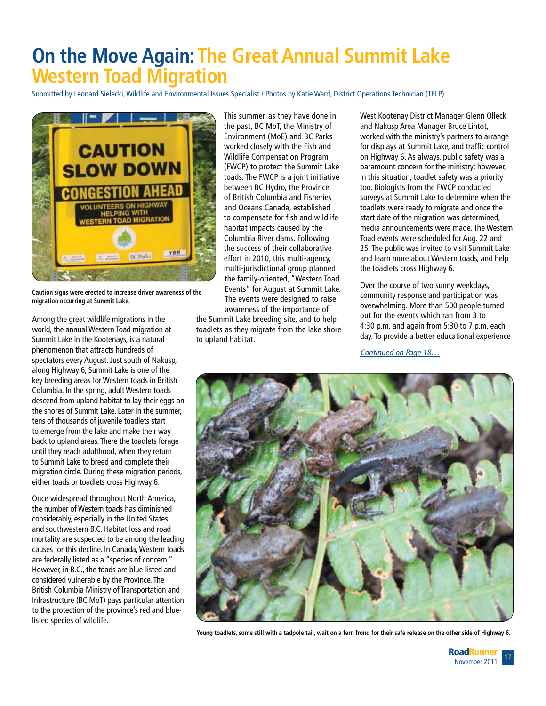## **On the Move Again: The Great Annual Summit Lake Western Toad Migration**

Submitted by Leonard Sielecki, Wildlife and Environmental Issues Specialist / Photos by Katie Ward, District Operations Technician (TELP)



**Caution signs were erected to increase driver awareness of the migration occurring at Summit Lake.**

Among the great wildlife migrations in the world, the annual Western Toad migration at Summit Lake in the Kootenays, is a natural phenomenon that attracts hundreds of spectators every August. Just south of Nakusp, along Highway 6, Summit Lake is one of the key breeding areas for Western toads in British Columbia. In the spring, adult Western toads descend from upland habitat to lay their eggs on the shores of Summit Lake. Later in the summer, tens of thousands of juvenile toadlets start to emerge from the lake and make their way back to upland areas. There the toadlets forage until they reach adulthood, when they return to Summit Lake to breed and complete their migration circle. During these migration periods, either toads or toadlets cross Highway 6.

Once widespread throughout North America, the number of Western toads has diminished considerably, especially in the United States and southwestern B.C. Habitat loss and road mortality are suspected to be among the leading causes for this decline. In Canada, Western toads are federally listed as a "species of concern." However, in B.C., the toads are blue-listed and considered vulnerable by the Province. The British Columbia Ministry of Transportation and Infrastructure (BC MoT) pays particular attention to the protection of the province's red and bluelisted species of wildlife.

This summer, as they have done in the past, BC MoT, the Ministry of Environment (MoE) and BC Parks worked closely with the Fish and Wildlife Compensation Program (FWCP) to protect the Summit Lake toads. The FWCP is a joint initiative between BC Hydro, the Province of British Columbia and Fisheries and Oceans Canada, established to compensate for fish and wildlife habitat impacts caused by the Columbia River dams. Following the success of their collaborative effort in 2010, this multi-agency, multi-jurisdictional group planned the family-oriented, "Western Toad Events" for August at Summit Lake. The events were designed to raise awareness of the importance of

the Summit Lake breeding site, and to help toadlets as they migrate from the lake shore to upland habitat.

West Kootenay District Manager Glenn Olleck and Nakusp Area Manager Bruce Lintot, worked with the ministry's partners to arrange for displays at Summit Lake, and traffic control on Highway 6. As always, public safety was a paramount concern for the ministry; however, in this situation, toadlet safety was a priority too. Biologists from the FWCP conducted surveys at Summit Lake to determine when the toadlets were ready to migrate and once the start date of the migration was determined, media announcements were made. The Western Toad events were scheduled for Aug. 22 and 25. The public was invited to visit Summit Lake and learn more about Western toads, and help the toadlets cross Highway 6.

Over the course of two sunny weekdays, community response and participation was overwhelming. More than 500 people turned out for the events which ran from 3 to 4:30 p.m. and again from 5:30 to 7 p.m. each day. To provide a better educational experience

Continued on Page 18…



**Young toadlets, some still with a tadpole tail, wait on a fern frond for their safe release on the other side of Highway 6.**